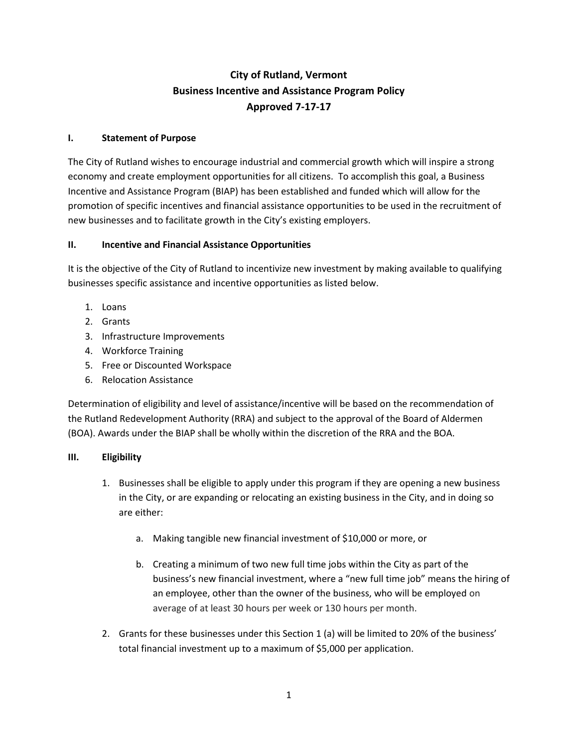# **City of Rutland, Vermont Business Incentive and Assistance Program Policy Approved 7-17-17**

# **I. Statement of Purpose**

The City of Rutland wishes to encourage industrial and commercial growth which will inspire a strong economy and create employment opportunities for all citizens. To accomplish this goal, a Business Incentive and Assistance Program (BIAP) has been established and funded which will allow for the promotion of specific incentives and financial assistance opportunities to be used in the recruitment of new businesses and to facilitate growth in the City's existing employers.

### **II. Incentive and Financial Assistance Opportunities**

It is the objective of the City of Rutland to incentivize new investment by making available to qualifying businesses specific assistance and incentive opportunities as listed below.

- 1. Loans
- 2. Grants
- 3. Infrastructure Improvements
- 4. Workforce Training
- 5. Free or Discounted Workspace
- 6. Relocation Assistance

Determination of eligibility and level of assistance/incentive will be based on the recommendation of the Rutland Redevelopment Authority (RRA) and subject to the approval of the Board of Aldermen (BOA). Awards under the BIAP shall be wholly within the discretion of the RRA and the BOA.

### **III. Eligibility**

- 1. Businesses shall be eligible to apply under this program if they are opening a new business in the City, or are expanding or relocating an existing business in the City, and in doing so are either:
	- a. Making tangible new financial investment of \$10,000 or more, or
	- b. Creating a minimum of two new full time jobs within the City as part of the business's new financial investment, where a "new full time job" means the hiring of an employee, other than the owner of the business, who will be employed on average of at least 30 hours per week or 130 hours per month.
- 2. Grants for these businesses under this Section 1 (a) will be limited to 20% of the business' total financial investment up to a maximum of \$5,000 per application.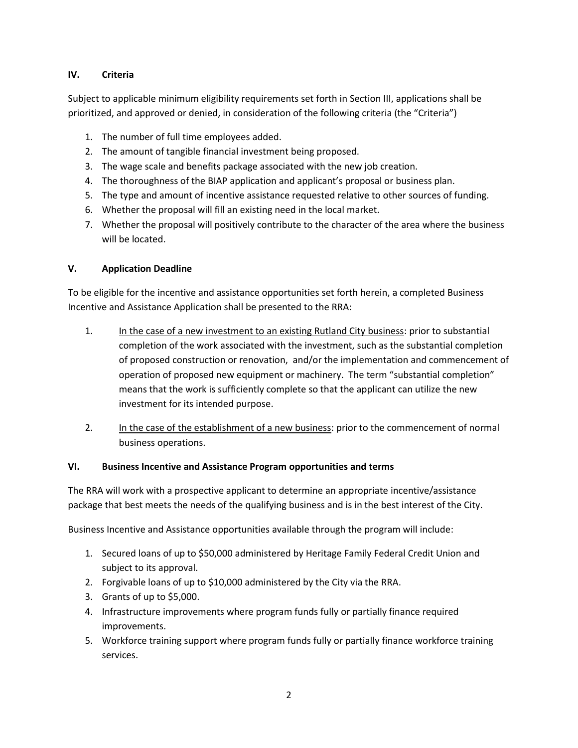## **IV. Criteria**

Subject to applicable minimum eligibility requirements set forth in Section III, applications shall be prioritized, and approved or denied, in consideration of the following criteria (the "Criteria")

- 1. The number of full time employees added.
- 2. The amount of tangible financial investment being proposed.
- 3. The wage scale and benefits package associated with the new job creation.
- 4. The thoroughness of the BIAP application and applicant's proposal or business plan.
- 5. The type and amount of incentive assistance requested relative to other sources of funding.
- 6. Whether the proposal will fill an existing need in the local market.
- 7. Whether the proposal will positively contribute to the character of the area where the business will be located.

# **V. Application Deadline**

To be eligible for the incentive and assistance opportunities set forth herein, a completed Business Incentive and Assistance Application shall be presented to the RRA:

- 1. In the case of a new investment to an existing Rutland City business: prior to substantial completion of the work associated with the investment, such as the substantial completion of proposed construction or renovation, and/or the implementation and commencement of operation of proposed new equipment or machinery. The term "substantial completion" means that the work is sufficiently complete so that the applicant can utilize the new investment for its intended purpose.
- 2. In the case of the establishment of a new business: prior to the commencement of normal business operations.

# **VI. Business Incentive and Assistance Program opportunities and terms**

The RRA will work with a prospective applicant to determine an appropriate incentive/assistance package that best meets the needs of the qualifying business and is in the best interest of the City.

Business Incentive and Assistance opportunities available through the program will include:

- 1. Secured loans of up to \$50,000 administered by Heritage Family Federal Credit Union and subject to its approval.
- 2. Forgivable loans of up to \$10,000 administered by the City via the RRA.
- 3. Grants of up to \$5,000.
- 4. Infrastructure improvements where program funds fully or partially finance required improvements.
- 5. Workforce training support where program funds fully or partially finance workforce training services.